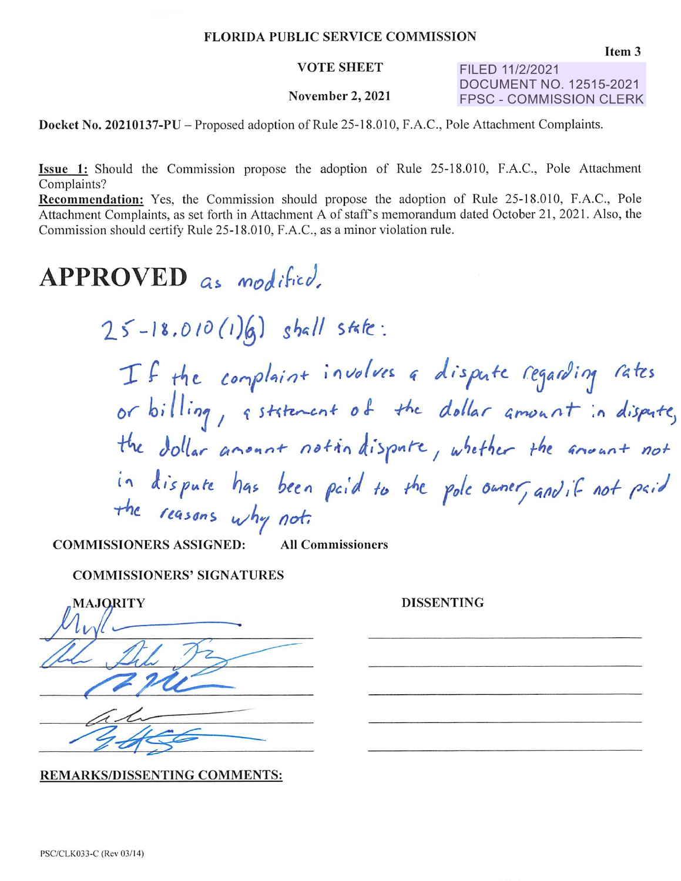## **FLORIDA PUBLIC SERVICE COMMISSION**

#### **VOTE SHEET**

### November 2, 2021

FILED 11/2/2021 **DOCUMENT NO. 12515-2021 FPSC - COMMISSION CLERK** 

Docket No. 20210137-PU – Proposed adoption of Rule 25-18.010, F.A.C., Pole Attachment Complaints.

Issue 1: Should the Commission propose the adoption of Rule 25-18.010, F.A.C., Pole Attachment Complaints?

Recommendation: Yes, the Commission should propose the adoption of Rule 25-18.010, F.A.C., Pole Attachment Complaints, as set forth in Attachment A of staff's memorandum dated October 21, 2021. Also, the Commission should certify Rule 25-18.010, F.A.C., as a minor violation rule.

# APPROVED as modified.

 $25 - 18.010(1)(6)$  shall state:

If the complaint involves a dispute regarding rates<br>or billing, aststement of the dollar amount in dispute, the dollar amount notin dispute, whether the ansunt not in dispute has been paid to the pole owner, and if not paid

**COMMISSIONERS ASSIGNED: All Commissioners** 

## **COMMISSIONERS' SIGNATURES**

| <b>MAJQRITY</b> |
|-----------------|
|                 |
|                 |
|                 |
|                 |
|                 |

**REMARKS/DISSENTING COMMENTS:** 

**DISSENTING**